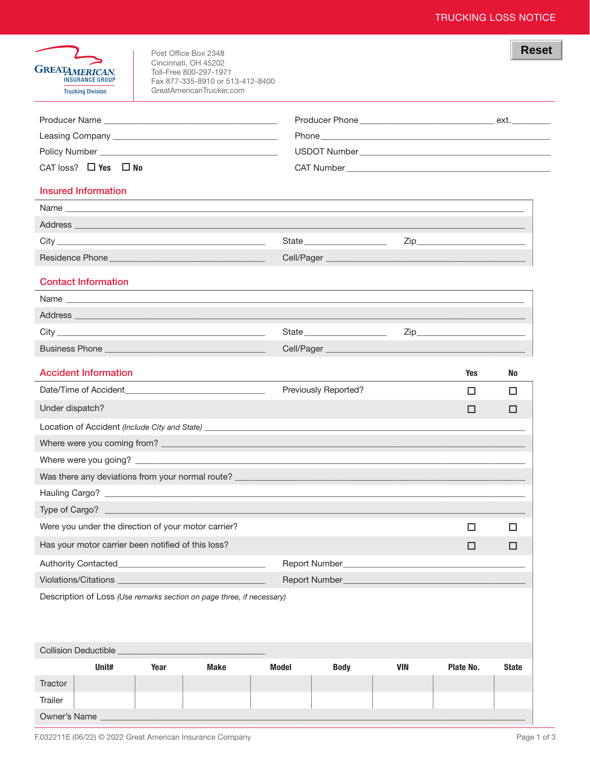| <b>GREATAMERICAN</b><br><b>INSURANCE GROUP</b><br><b>Trucking Division</b>                                                                                                                                                     |      | Post Office Box 2348<br>Cincinnati, OH 45202<br>Toll-Free 800-297-1971<br>Fax 877-335-8910 or 513-412-8400<br>GreatAmericanTrucker.com |              |                               |            |                                                                                                                                                                                                                                     | <b>Reset</b> |  |
|--------------------------------------------------------------------------------------------------------------------------------------------------------------------------------------------------------------------------------|------|----------------------------------------------------------------------------------------------------------------------------------------|--------------|-------------------------------|------------|-------------------------------------------------------------------------------------------------------------------------------------------------------------------------------------------------------------------------------------|--------------|--|
|                                                                                                                                                                                                                                |      |                                                                                                                                        |              |                               |            |                                                                                                                                                                                                                                     |              |  |
|                                                                                                                                                                                                                                |      |                                                                                                                                        |              |                               |            |                                                                                                                                                                                                                                     |              |  |
|                                                                                                                                                                                                                                |      |                                                                                                                                        |              |                               |            |                                                                                                                                                                                                                                     |              |  |
| CAT loss? $\Box$ Yes $\Box$ No                                                                                                                                                                                                 |      |                                                                                                                                        |              |                               |            |                                                                                                                                                                                                                                     |              |  |
| <b>Insured Information</b>                                                                                                                                                                                                     |      | ,我们也不会有什么。""我们的人,我们也不会有什么?""我们的人,我们也不会有什么?""我们的人,我们也不会有什么?""我们的人,我们也不会有什么?""我们的人                                                       |              |                               |            |                                                                                                                                                                                                                                     |              |  |
| Name experience and the contract of the contract of the contract of the contract of the contract of the contract of the contract of the contract of the contract of the contract of the contract of the contract of the contra |      |                                                                                                                                        |              |                               |            |                                                                                                                                                                                                                                     |              |  |
|                                                                                                                                                                                                                                |      |                                                                                                                                        |              |                               |            |                                                                                                                                                                                                                                     |              |  |
|                                                                                                                                                                                                                                |      |                                                                                                                                        |              | State                         |            |                                                                                                                                                                                                                                     |              |  |
|                                                                                                                                                                                                                                |      |                                                                                                                                        |              |                               |            |                                                                                                                                                                                                                                     |              |  |
| <b>Contact Information</b>                                                                                                                                                                                                     |      | ,我们也不能在这里的时候,我们也不能在这里的时候,我们也不能会在这里的时候,我们也不能会在这里的时候,我们也不能会在这里的时候,我们也不能会在这里的时候,我们也                                                       |              |                               |            |                                                                                                                                                                                                                                     |              |  |
| Name and the contract of the contract of the contract of the contract of the contract of the contract of the contract of the contract of the contract of the contract of the contract of the contract of the contract of the c |      |                                                                                                                                        |              |                               |            |                                                                                                                                                                                                                                     |              |  |
|                                                                                                                                                                                                                                |      |                                                                                                                                        |              |                               |            |                                                                                                                                                                                                                                     |              |  |
|                                                                                                                                                                                                                                |      |                                                                                                                                        |              | State _______________________ |            | Zip <b>Example 2</b> in the second second second second second second second second second second second second second second second second second second second second second second second second second second second second sec |              |  |
|                                                                                                                                                                                                                                |      |                                                                                                                                        |              |                               |            |                                                                                                                                                                                                                                     |              |  |
| <b>Accident Information</b>                                                                                                                                                                                                    |      |                                                                                                                                        |              |                               |            | Yes                                                                                                                                                                                                                                 | No           |  |
| Date/Time of Accident <b>Example 20</b>                                                                                                                                                                                        |      | the control of the control of the control of the control of the control of                                                             |              | Previously Reported?          |            | □                                                                                                                                                                                                                                   | □            |  |
| Under dispatch?                                                                                                                                                                                                                |      |                                                                                                                                        |              |                               |            | □                                                                                                                                                                                                                                   | П            |  |
|                                                                                                                                                                                                                                |      |                                                                                                                                        |              |                               |            |                                                                                                                                                                                                                                     |              |  |
| Where were you coming from?                                                                                                                                                                                                    |      |                                                                                                                                        |              |                               |            |                                                                                                                                                                                                                                     |              |  |
|                                                                                                                                                                                                                                |      |                                                                                                                                        |              |                               |            |                                                                                                                                                                                                                                     |              |  |
| Was there any deviations from your normal route?                                                                                                                                                                               |      |                                                                                                                                        |              |                               |            |                                                                                                                                                                                                                                     |              |  |
|                                                                                                                                                                                                                                |      |                                                                                                                                        |              |                               |            |                                                                                                                                                                                                                                     |              |  |
| Type of Cargo?                                                                                                                                                                                                                 |      |                                                                                                                                        |              |                               |            |                                                                                                                                                                                                                                     |              |  |
| Were you under the direction of your motor carrier?                                                                                                                                                                            |      |                                                                                                                                        |              |                               |            | □                                                                                                                                                                                                                                   | □            |  |
| Has your motor carrier been notified of this loss?                                                                                                                                                                             |      |                                                                                                                                        |              |                               |            | □                                                                                                                                                                                                                                   | □            |  |
|                                                                                                                                                                                                                                |      |                                                                                                                                        |              |                               |            |                                                                                                                                                                                                                                     |              |  |
|                                                                                                                                                                                                                                |      |                                                                                                                                        |              |                               |            |                                                                                                                                                                                                                                     |              |  |
| Description of Loss (Use remarks section on page three, if necessary)                                                                                                                                                          |      |                                                                                                                                        |              |                               |            |                                                                                                                                                                                                                                     |              |  |
|                                                                                                                                                                                                                                |      |                                                                                                                                        |              |                               |            |                                                                                                                                                                                                                                     |              |  |
| Collision Deductible _                                                                                                                                                                                                         |      |                                                                                                                                        |              |                               |            |                                                                                                                                                                                                                                     |              |  |
| Unit#                                                                                                                                                                                                                          | Year | <b>Make</b>                                                                                                                            | <b>Model</b> | <b>Body</b>                   | <b>VIN</b> | Plate No.                                                                                                                                                                                                                           | <b>State</b> |  |
| Tractor                                                                                                                                                                                                                        |      |                                                                                                                                        |              |                               |            |                                                                                                                                                                                                                                     |              |  |
| Trailer                                                                                                                                                                                                                        |      |                                                                                                                                        |              |                               |            |                                                                                                                                                                                                                                     |              |  |

Owner's Name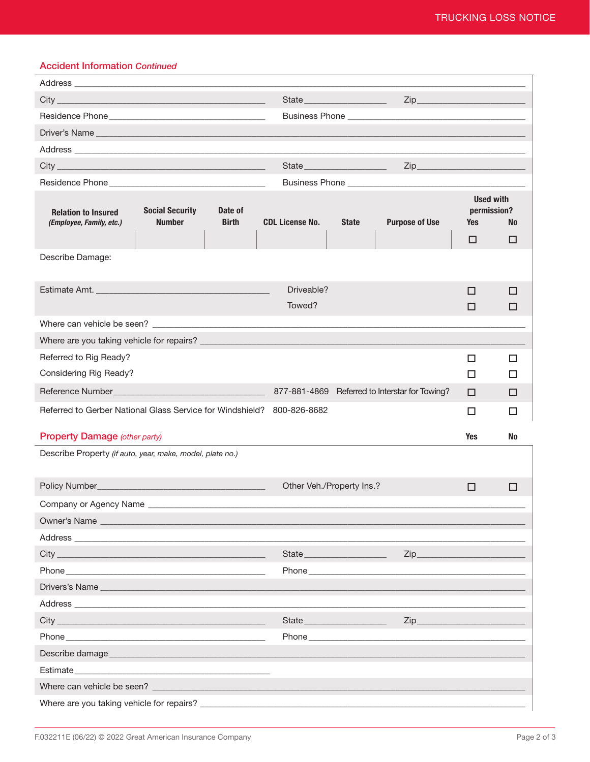## **Accident Information Continued**

| $City_$<br><u> 1989 - Johann John Stein, mars an deus Amerikaanse komme</u>                                                                                                                                                    |                                         | State _____________________<br>$Zip$ <sub>—</sub> |                                                                                                                                                                                                                                    |              |                       |                                        |           |  |
|--------------------------------------------------------------------------------------------------------------------------------------------------------------------------------------------------------------------------------|-----------------------------------------|---------------------------------------------------|------------------------------------------------------------------------------------------------------------------------------------------------------------------------------------------------------------------------------------|--------------|-----------------------|----------------------------------------|-----------|--|
|                                                                                                                                                                                                                                |                                         |                                                   |                                                                                                                                                                                                                                    |              |                       |                                        |           |  |
|                                                                                                                                                                                                                                |                                         |                                                   |                                                                                                                                                                                                                                    |              |                       |                                        |           |  |
|                                                                                                                                                                                                                                |                                         |                                                   |                                                                                                                                                                                                                                    |              |                       |                                        |           |  |
|                                                                                                                                                                                                                                |                                         |                                                   | State                                                                                                                                                                                                                              |              |                       |                                        |           |  |
|                                                                                                                                                                                                                                |                                         |                                                   |                                                                                                                                                                                                                                    |              |                       |                                        |           |  |
| <b>Relation to Insured</b><br>(Employee, Family, etc.)                                                                                                                                                                         | <b>Social Security</b><br><b>Number</b> | Date of<br><b>Birth</b>                           | <b>CDL License No.</b>                                                                                                                                                                                                             | <b>State</b> | <b>Purpose of Use</b> | <b>Used with</b><br>permission?<br>Yes | <b>No</b> |  |
|                                                                                                                                                                                                                                |                                         |                                                   |                                                                                                                                                                                                                                    |              |                       | □                                      | □         |  |
| Describe Damage:                                                                                                                                                                                                               |                                         |                                                   |                                                                                                                                                                                                                                    |              |                       |                                        |           |  |
|                                                                                                                                                                                                                                |                                         |                                                   |                                                                                                                                                                                                                                    |              |                       |                                        |           |  |
|                                                                                                                                                                                                                                |                                         |                                                   | Driveable?                                                                                                                                                                                                                         |              |                       | □                                      | □         |  |
|                                                                                                                                                                                                                                |                                         |                                                   | Towed?                                                                                                                                                                                                                             |              |                       | □                                      | □         |  |
|                                                                                                                                                                                                                                |                                         |                                                   |                                                                                                                                                                                                                                    |              |                       |                                        |           |  |
| Where are you taking vehicle for repairs?                                                                                                                                                                                      |                                         |                                                   |                                                                                                                                                                                                                                    |              |                       |                                        |           |  |
| Referred to Rig Ready?                                                                                                                                                                                                         |                                         |                                                   |                                                                                                                                                                                                                                    |              |                       | □                                      | □         |  |
| Considering Rig Ready?                                                                                                                                                                                                         |                                         |                                                   |                                                                                                                                                                                                                                    |              |                       | $\Box$                                 | ◻         |  |
| 877-881-4869 Referred to Interstar for Towing?                                                                                                                                                                                 |                                         |                                                   |                                                                                                                                                                                                                                    |              |                       | $\Box$                                 | □         |  |
| Referred to Gerber National Glass Service for Windshield? 800-826-8682<br>□<br>□                                                                                                                                               |                                         |                                                   |                                                                                                                                                                                                                                    |              |                       |                                        |           |  |
| <b>Property Damage (other party)</b>                                                                                                                                                                                           |                                         |                                                   |                                                                                                                                                                                                                                    |              |                       | <b>Yes</b>                             | No        |  |
| Describe Property (if auto, year, make, model, plate no.)                                                                                                                                                                      |                                         |                                                   |                                                                                                                                                                                                                                    |              |                       |                                        |           |  |
| Policy Number_<br>Other Veh./Property Ins.?                                                                                                                                                                                    |                                         |                                                   |                                                                                                                                                                                                                                    |              |                       | □                                      | □         |  |
| Company or Agency Name                                                                                                                                                                                                         |                                         |                                                   |                                                                                                                                                                                                                                    |              |                       |                                        |           |  |
| Owner's Name                                                                                                                                                                                                                   |                                         |                                                   |                                                                                                                                                                                                                                    |              |                       |                                        |           |  |
| Address and the contract of the contract of the contract of the contract of the contract of the contract of the contract of the contract of the contract of the contract of the contract of the contract of the contract of th |                                         |                                                   |                                                                                                                                                                                                                                    |              |                       |                                        |           |  |
|                                                                                                                                                                                                                                |                                         |                                                   |                                                                                                                                                                                                                                    |              | $Zip$ <sub>——</sub>   |                                        |           |  |
| Phone and the contract of the contract of the contract of the contract of the contract of the contract of the contract of the contract of the contract of the contract of the contract of the contract of the contract of the  |                                         |                                                   | <b>Phone Contract Contract Contract Contract Contract Contract Contract Contract Contract Contract Contract Contract Contract Contract Contract Contract Contract Contract Contract Contract Contract Contract Contract Contra</b> |              |                       |                                        |           |  |
| Drivers's Name                                                                                                                                                                                                                 |                                         |                                                   |                                                                                                                                                                                                                                    |              |                       |                                        |           |  |
| Address and the contract of the contract of the contract of the contract of the contract of the contract of the                                                                                                                |                                         |                                                   |                                                                                                                                                                                                                                    |              |                       |                                        |           |  |
|                                                                                                                                                                                                                                |                                         |                                                   | State______                                                                                                                                                                                                                        |              | $Zip$ <sub>—</sub>    |                                        |           |  |
| <b>Phone Contract Phone</b>                                                                                                                                                                                                    | Phone <b>Contract Contract Phone</b>    |                                                   |                                                                                                                                                                                                                                    |              |                       |                                        |           |  |
|                                                                                                                                                                                                                                |                                         |                                                   |                                                                                                                                                                                                                                    |              |                       |                                        |           |  |
| Estimate the contract of the contract of the contract of the contract of the contract of the contract of the contract of the contract of the contract of the contract of the contract of the contract of the contract of the c |                                         |                                                   |                                                                                                                                                                                                                                    |              |                       |                                        |           |  |
|                                                                                                                                                                                                                                |                                         |                                                   |                                                                                                                                                                                                                                    |              |                       |                                        |           |  |
|                                                                                                                                                                                                                                |                                         |                                                   |                                                                                                                                                                                                                                    |              |                       |                                        |           |  |